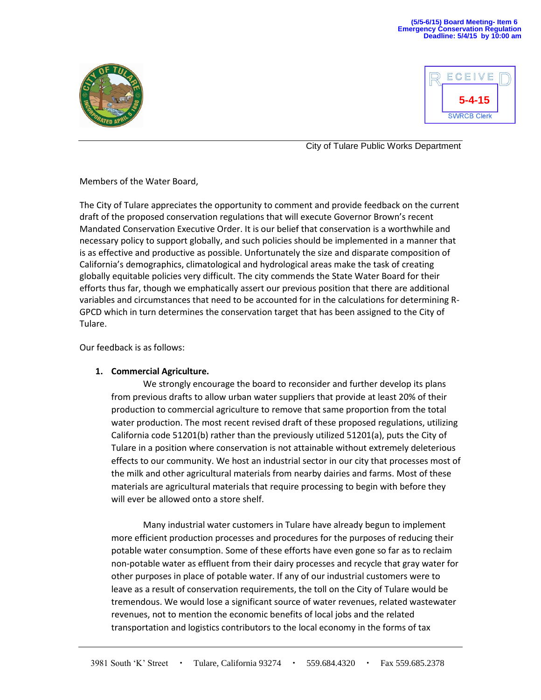#### **(5/5-6/15) Board Meeting- Item 6 Emergency Conservation Regulation Deadline: 5/4/15 by 10:00 am**





City of Tulare Public Works Department

Members of the Water Board,

The City of Tulare appreciates the opportunity to comment and provide feedback on the current draft of the proposed conservation regulations that will execute Governor Brown's recent Mandated Conservation Executive Order. It is our belief that conservation is a worthwhile and necessary policy to support globally, and such policies should be implemented in a manner that is as effective and productive as possible. Unfortunately the size and disparate composition of California's demographics, climatological and hydrological areas make the task of creating globally equitable policies very difficult. The city commends the State Water Board for their efforts thus far, though we emphatically assert our previous position that there are additional variables and circumstances that need to be accounted for in the calculations for determining R-GPCD which in turn determines the conservation target that has been assigned to the City of Tulare.

Our feedback is as follows:

# **1. Commercial Agriculture.**

We strongly encourage the board to reconsider and further develop its plans from previous drafts to allow urban water suppliers that provide at least 20% of their production to commercial agriculture to remove that same proportion from the total water production. The most recent revised draft of these proposed regulations, utilizing California code 51201(b) rather than the previously utilized 51201(a), puts the City of Tulare in a position where conservation is not attainable without extremely deleterious effects to our community. We host an industrial sector in our city that processes most of the milk and other agricultural materials from nearby dairies and farms. Most of these materials are agricultural materials that require processing to begin with before they will ever be allowed onto a store shelf.

Many industrial water customers in Tulare have already begun to implement more efficient production processes and procedures for the purposes of reducing their potable water consumption. Some of these efforts have even gone so far as to reclaim non-potable water as effluent from their dairy processes and recycle that gray water for other purposes in place of potable water. If any of our industrial customers were to leave as a result of conservation requirements, the toll on the City of Tulare would be tremendous. We would lose a significant source of water revenues, related wastewater revenues, not to mention the economic benefits of local jobs and the related transportation and logistics contributors to the local economy in the forms of tax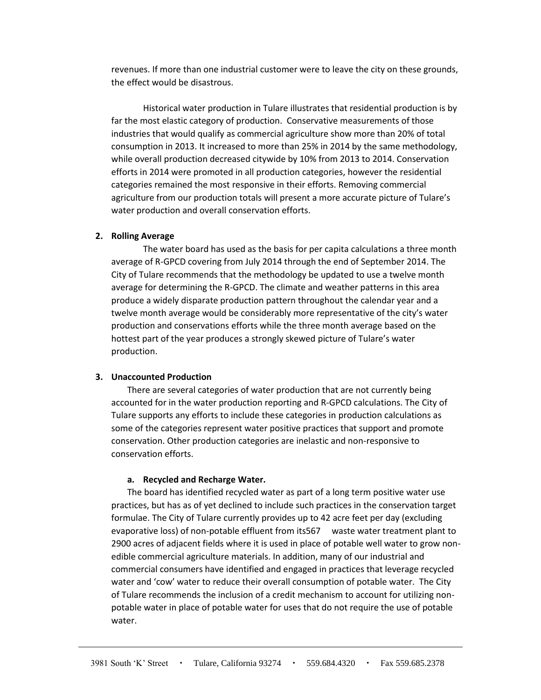revenues. If more than one industrial customer were to leave the city on these grounds, the effect would be disastrous.

Historical water production in Tulare illustrates that residential production is by far the most elastic category of production. Conservative measurements of those industries that would qualify as commercial agriculture show more than 20% of total consumption in 2013. It increased to more than 25% in 2014 by the same methodology, while overall production decreased citywide by 10% from 2013 to 2014. Conservation efforts in 2014 were promoted in all production categories, however the residential categories remained the most responsive in their efforts. Removing commercial agriculture from our production totals will present a more accurate picture of Tulare's water production and overall conservation efforts.

# **2. Rolling Average**

The water board has used as the basis for per capita calculations a three month average of R-GPCD covering from July 2014 through the end of September 2014. The City of Tulare recommends that the methodology be updated to use a twelve month average for determining the R-GPCD. The climate and weather patterns in this area produce a widely disparate production pattern throughout the calendar year and a twelve month average would be considerably more representative of the city's water production and conservations efforts while the three month average based on the hottest part of the year produces a strongly skewed picture of Tulare's water production.

# **3. Unaccounted Production**

There are several categories of water production that are not currently being accounted for in the water production reporting and R-GPCD calculations. The City of Tulare supports any efforts to include these categories in production calculations as some of the categories represent water positive practices that support and promote conservation. Other production categories are inelastic and non-responsive to conservation efforts.

### **a. Recycled and Recharge Water.**

The board has identified recycled water as part of a long term positive water use practices, but has as of yet declined to include such practices in the conservation target formulae. The City of Tulare currently provides up to 42 acre feet per day (excluding evaporative loss) of non-potable effluent from its567 waste water treatment plant to 2900 acres of adjacent fields where it is used in place of potable well water to grow nonedible commercial agriculture materials. In addition, many of our industrial and commercial consumers have identified and engaged in practices that leverage recycled water and 'cow' water to reduce their overall consumption of potable water. The City of Tulare recommends the inclusion of a credit mechanism to account for utilizing nonpotable water in place of potable water for uses that do not require the use of potable water.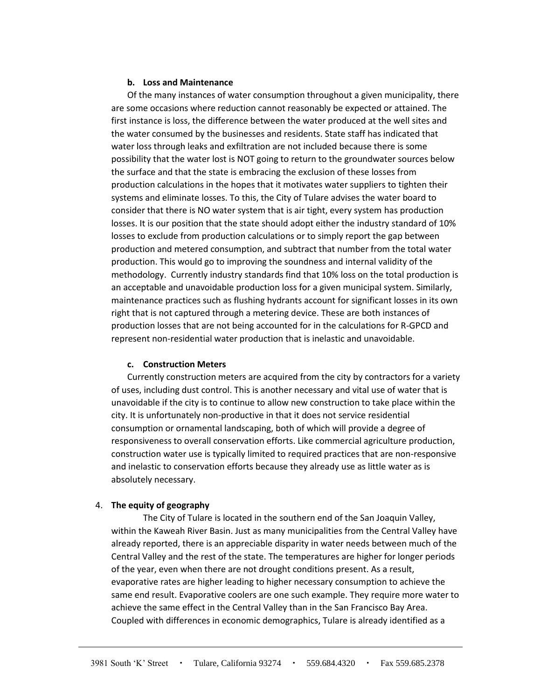# **b. Loss and Maintenance**

Of the many instances of water consumption throughout a given municipality, there are some occasions where reduction cannot reasonably be expected or attained. The first instance is loss, the difference between the water produced at the well sites and the water consumed by the businesses and residents. State staff has indicated that water loss through leaks and exfiltration are not included because there is some possibility that the water lost is NOT going to return to the groundwater sources below the surface and that the state is embracing the exclusion of these losses from production calculations in the hopes that it motivates water suppliers to tighten their systems and eliminate losses. To this, the City of Tulare advises the water board to consider that there is NO water system that is air tight, every system has production losses. It is our position that the state should adopt either the industry standard of 10% losses to exclude from production calculations or to simply report the gap between production and metered consumption, and subtract that number from the total water production. This would go to improving the soundness and internal validity of the methodology. Currently industry standards find that 10% loss on the total production is an acceptable and unavoidable production loss for a given municipal system. Similarly, maintenance practices such as flushing hydrants account for significant losses in its own right that is not captured through a metering device. These are both instances of production losses that are not being accounted for in the calculations for R-GPCD and represent non-residential water production that is inelastic and unavoidable.

# **c. Construction Meters**

Currently construction meters are acquired from the city by contractors for a variety of uses, including dust control. This is another necessary and vital use of water that is unavoidable if the city is to continue to allow new construction to take place within the city. It is unfortunately non-productive in that it does not service residential consumption or ornamental landscaping, both of which will provide a degree of responsiveness to overall conservation efforts. Like commercial agriculture production, construction water use is typically limited to required practices that are non-responsive and inelastic to conservation efforts because they already use as little water as is absolutely necessary.

# 4. **The equity of geography**

The City of Tulare is located in the southern end of the San Joaquin Valley, within the Kaweah River Basin. Just as many municipalities from the Central Valley have already reported, there is an appreciable disparity in water needs between much of the Central Valley and the rest of the state. The temperatures are higher for longer periods of the year, even when there are not drought conditions present. As a result, evaporative rates are higher leading to higher necessary consumption to achieve the same end result. Evaporative coolers are one such example. They require more water to achieve the same effect in the Central Valley than in the San Francisco Bay Area. Coupled with differences in economic demographics, Tulare is already identified as a